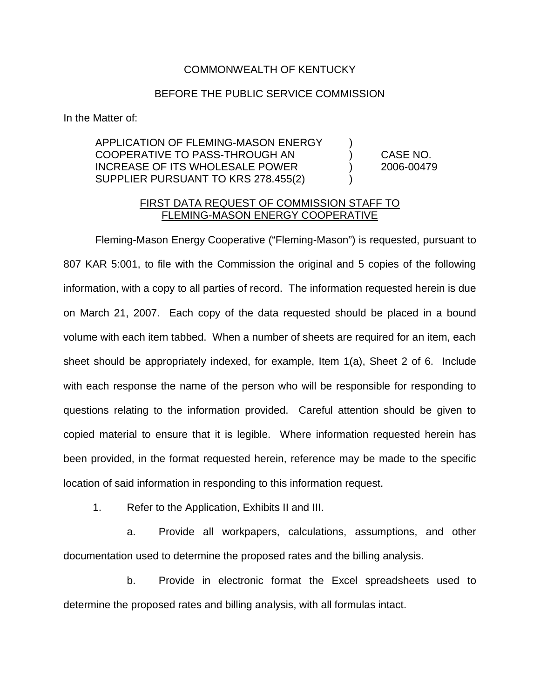## COMMONWEALTH OF KENTUCKY

## BEFORE THE PUBLIC SERVICE COMMISSION

In the Matter of:

## APPLICATION OF FLEMING-MASON ENERGY ) COOPERATIVE TO PASS-THROUGH AN ) CASE NO. INCREASE OF ITS WHOLESALE POWER ) 2006-00479 SUPPLIER PURSUANT TO KRS 278.455(2)

## FIRST DATA REQUEST OF COMMISSION STAFF TO FLEMING-MASON ENERGY COOPERATIVE

Fleming-Mason Energy Cooperative ("Fleming-Mason") is requested, pursuant to 807 KAR 5:001, to file with the Commission the original and 5 copies of the following information, with a copy to all parties of record. The information requested herein is due on March 21, 2007. Each copy of the data requested should be placed in a bound volume with each item tabbed. When a number of sheets are required for an item, each sheet should be appropriately indexed, for example, Item 1(a), Sheet 2 of 6. Include with each response the name of the person who will be responsible for responding to questions relating to the information provided. Careful attention should be given to copied material to ensure that it is legible. Where information requested herein has been provided, in the format requested herein, reference may be made to the specific location of said information in responding to this information request.

1. Refer to the Application, Exhibits II and III.

a. Provide all workpapers, calculations, assumptions, and other documentation used to determine the proposed rates and the billing analysis.

b. Provide in electronic format the Excel spreadsheets used to determine the proposed rates and billing analysis, with all formulas intact.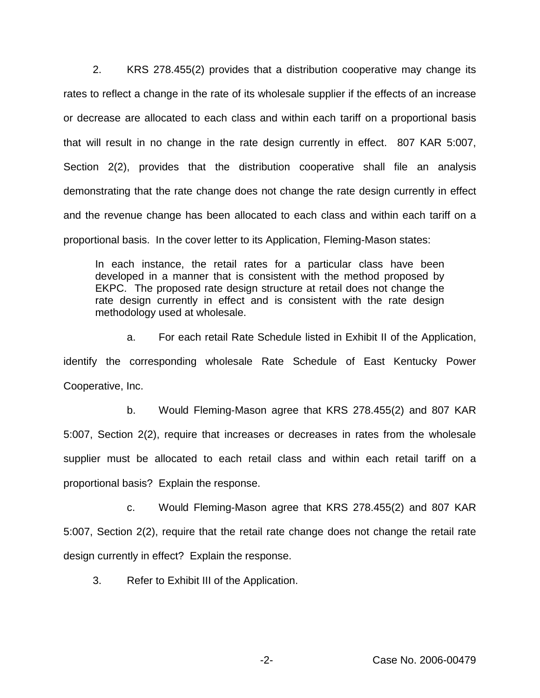2. KRS 278.455(2) provides that a distribution cooperative may change its rates to reflect a change in the rate of its wholesale supplier if the effects of an increase or decrease are allocated to each class and within each tariff on a proportional basis that will result in no change in the rate design currently in effect. 807 KAR 5:007, Section 2(2), provides that the distribution cooperative shall file an analysis demonstrating that the rate change does not change the rate design currently in effect and the revenue change has been allocated to each class and within each tariff on a proportional basis. In the cover letter to its Application, Fleming-Mason states:

In each instance, the retail rates for a particular class have been developed in a manner that is consistent with the method proposed by EKPC. The proposed rate design structure at retail does not change the rate design currently in effect and is consistent with the rate design methodology used at wholesale.

a. For each retail Rate Schedule listed in Exhibit II of the Application, identify the corresponding wholesale Rate Schedule of East Kentucky Power Cooperative, Inc.

b. Would Fleming-Mason agree that KRS 278.455(2) and 807 KAR 5:007, Section 2(2), require that increases or decreases in rates from the wholesale supplier must be allocated to each retail class and within each retail tariff on a proportional basis? Explain the response.

c. Would Fleming-Mason agree that KRS 278.455(2) and 807 KAR 5:007, Section 2(2), require that the retail rate change does not change the retail rate design currently in effect? Explain the response.

3. Refer to Exhibit III of the Application.